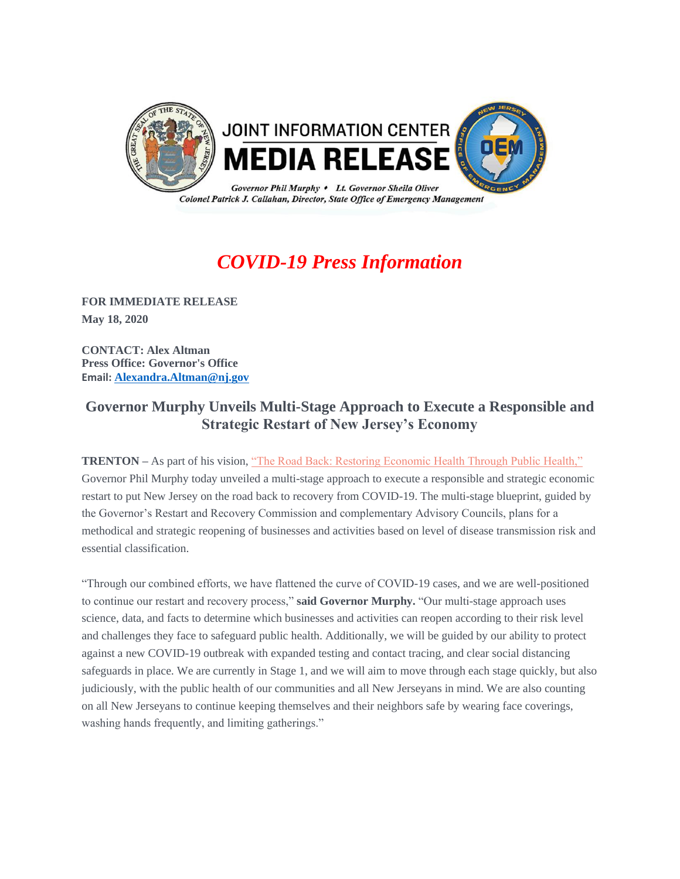

# *COVID-19 Press Information*

**FOR IMMEDIATE RELEASE May 18, 2020** 

**CONTACT: Alex Altman Press Office: Governor's Office Email: [Alexandra.Altman@nj.gov](mailto:Alexandra.Altman@nj.gov)**

## **Governor Murphy Unveils Multi-Stage Approach to Execute a Responsible and Strategic Restart of New Jersey's Economy**

**TRENTON** – As part of his vision, ["The Road Back: Restoring Economic Health Through Public Health,"](https://urldefense.com/v3/__https:/t.e2ma.net/click/jsfk8c/j83xrcb/byykrj__;!!J30X0ZrnC1oQtbA!YLmTr2rmJgukIL5pKEG67TTTF0vMnbXhBruyf1SLjHaVE94-1lgb5mXchwHJxoW2UN8qHLSZ$) Governor Phil Murphy today unveiled a multi-stage approach to execute a responsible and strategic economic restart to put New Jersey on the road back to recovery from COVID-19. The multi-stage blueprint, guided by the Governor's Restart and Recovery Commission and complementary Advisory Councils, plans for a methodical and strategic reopening of businesses and activities based on level of disease transmission risk and essential classification.

"Through our combined efforts, we have flattened the curve of COVID-19 cases, and we are well-positioned to continue our restart and recovery process," **said Governor Murphy.** "Our multi-stage approach uses science, data, and facts to determine which businesses and activities can reopen according to their risk level and challenges they face to safeguard public health. Additionally, we will be guided by our ability to protect against a new COVID-19 outbreak with expanded testing and contact tracing, and clear social distancing safeguards in place. We are currently in Stage 1, and we will aim to move through each stage quickly, but also judiciously, with the public health of our communities and all New Jerseyans in mind. We are also counting on all New Jerseyans to continue keeping themselves and their neighbors safe by wearing face coverings, washing hands frequently, and limiting gatherings."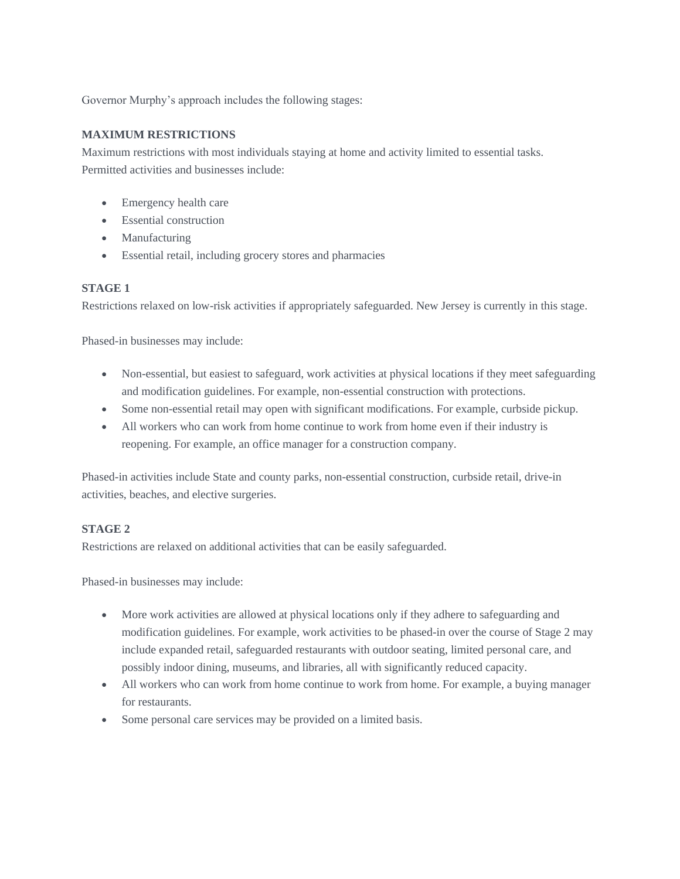Governor Murphy's approach includes the following stages:

#### **MAXIMUM RESTRICTIONS**

Maximum restrictions with most individuals staying at home and activity limited to essential tasks. Permitted activities and businesses include:

- Emergency health care
- Essential construction
- Manufacturing
- Essential retail, including grocery stores and pharmacies

#### **STAGE 1**

Restrictions relaxed on low-risk activities if appropriately safeguarded. New Jersey is currently in this stage.

Phased-in businesses may include:

- Non-essential, but easiest to safeguard, work activities at physical locations if they meet safeguarding and modification guidelines. For example, non-essential construction with protections.
- Some non-essential retail may open with significant modifications. For example, curbside pickup.
- All workers who can work from home continue to work from home even if their industry is reopening. For example, an office manager for a construction company.

Phased-in activities include State and county parks, non-essential construction, curbside retail, drive-in activities, beaches, and elective surgeries.

#### **STAGE 2**

Restrictions are relaxed on additional activities that can be easily safeguarded.

Phased-in businesses may include:

- More work activities are allowed at physical locations only if they adhere to safeguarding and modification guidelines. For example, work activities to be phased-in over the course of Stage 2 may include expanded retail, safeguarded restaurants with outdoor seating, limited personal care, and possibly indoor dining, museums, and libraries, all with significantly reduced capacity.
- All workers who can work from home continue to work from home. For example, a buying manager for restaurants.
- Some personal care services may be provided on a limited basis.